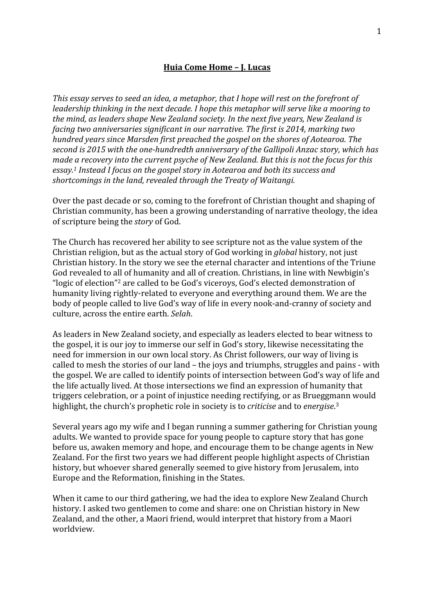## **Huia Come Home – J. Lucas**

*This essay serves to seed an idea, a metaphor, that I hope will rest on the forefront of leadership thinking in the next decade. I hope this metaphor will serve like a mooring to the mind, as leaders shape New Zealand society. In the next five years, New Zealand is facing two anniversaries significant in our narrative. The first is 2014, marking two hundred years since Marsden first preached the gospel on the shores of Aotearoa. The second is 2015 with the one-hundredth anniversary of the Gallipoli Anzac story, which has made a recovery into the current psyche of New Zealand. But this is not the focus for this essay.1 Instead I focus on the gospel story in Aotearoa and both its success and shortcomings in the land, revealed through the Treaty of Waitangi.*

Over the past decade or so, coming to the forefront of Christian thought and shaping of Christian community, has been a growing understanding of narrative theology, the idea of scripture being the *story* of God.

The Church has recovered her ability to see scripture not as the value system of the Christian religion, but as the actual story of God working in *global* history, not just Christian history. In the story we see the eternal character and intentions of the Triune God revealed to all of humanity and all of creation. Christians, in line with Newbigin's "logic of election"2 are called to be God's viceroys, God's elected demonstration of humanity living rightly‐related to everyone and everything around them. We are the body of people called to live God's way of life in every nook-and-cranny of society and culture, across the entire earth. *Selah*.

As leaders in New Zealand society, and especially as leaders elected to bear witness to the gospel, it is our joy to immerse our self in God's story, likewise necessitating the need for immersion in our own local story. As Christ followers, our way of living is called to mesh the stories of our land – the joys and triumphs, struggles and pains ‐ with the gospel. We are called to identify points of intersection between God's way of life and the life actually lived. At those intersections we find an expression of humanity that triggers celebration, or a point of injustice needing rectifying, or as Brueggmann would highlight, the church's prophetic role in society is to *criticise* and to *energise*. 3

Several years ago my wife and I began running a summer gathering for Christian young adults. We wanted to provide space for young people to capture story that has gone before us, awaken memory and hope, and encourage them to be change agents in New Zealand. For the first two years we had different people highlight aspects of Christian history, but whoever shared generally seemed to give history from Jerusalem, into Europe and the Reformation, finishing in the States.

When it came to our third gathering, we had the idea to explore New Zealand Church history. I asked two gentlemen to come and share: one on Christian history in New Zealand, and the other, a Maori friend, would interpret that history from a Maori worldview.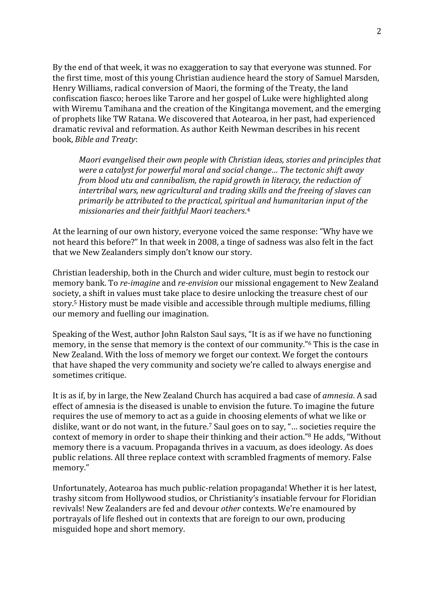By the end of that week, it was no exaggeration to say that everyone was stunned. For the first time, most of this young Christian audience heard the story of Samuel Marsden, Henry Williams, radical conversion of Maori, the forming of the Treaty, the land confiscation fiasco; heroes like Tarore and her gospel of Luke were highlighted along with Wiremu Tamihana and the creation of the Kingitanga movement, and the emerging of prophets like TW Ratana. We discovered that Aotearoa, in her past, had experienced dramatic revival and reformation. As author Keith Newman describes in his recent book, *Bible and Treaty*:

*Maori evangelised their own people with Christian ideas, stories and principles that were a catalyst for powerful moral and social change… The tectonic shift away from blood utu and cannibalism, the rapid growth in literacy, the reduction of intertribal wars, new agricultural and trading skills and the freeing of slaves can primarily be attributed to the practical, spiritual and humanitarian input of the missionaries and their faithful Maori teachers*. 4

At the learning of our own history, everyone voiced the same response: "Why have we not heard this before?" In that week in 2008, a tinge of sadness was also felt in the fact that we New Zealanders simply don't know our story.

Christian leadership, both in the Church and wider culture, must begin to restock our memory bank. To *re-imagine* and *re-envision* our missional engagement to New Zealand society, a shift in values must take place to desire unlocking the treasure chest of our story. 5 History must be made visible and accessible through multiple mediums, filling our memory and fuelling our imagination.

Speaking of the West, author John Ralston Saul says, "It is as if we have no functioning memory, in the sense that memory is the context of our community."6 This is the case in New Zealand. With the loss of memory we forget our context. We forget the contours that have shaped the very community and society we're called to always energise and sometimes critique.

It is as if, by in large, the New Zealand Church has acquired a bad case of *amnesia*. A sad effect of amnesia is the diseased is unable to envision the future. To imagine the future requires the use of memory to act as a guide in choosing elements of what we like or dislike, want or do not want, in the future.7 Saul goes on to say, "… societies require the context of memory in order to shape their thinking and their action."8 He adds, "Without memory there is a vacuum. Propaganda thrives in a vacuum, as does ideology. As does public relations. All three replace context with scrambled fragments of memory. False memory."

Unfortunately, Aotearoa has much public‐relation propaganda! Whether it is her latest, trashy sitcom from Hollywood studios, or Christianity's insatiable fervour for Floridian revivals! New Zealanders are fed and devour *other* contexts. We're enamoured by portrayals of life fleshed out in contexts that are foreign to our own, producing misguided hope and short memory.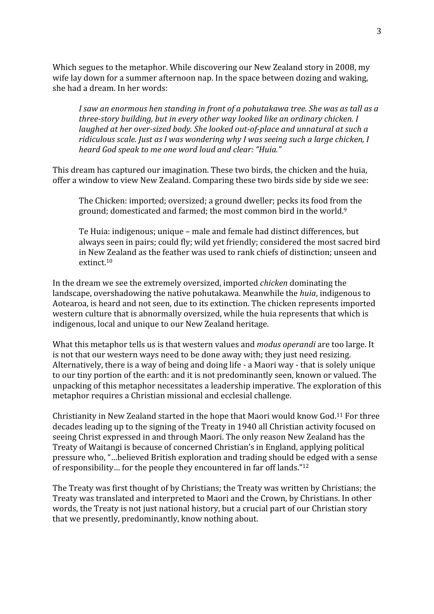Which segues to the metaphor. While discovering our New Zealand story in 2008, my wife lay down for a summer afternoon nap. In the space between dozing and waking, she had a dream. In her words:

*I saw an enormous hen standing in front of a pohutakawa tree. She was as tall as a threestory building, but in every other way looked like an ordinary chicken. I laughed at her over-sized body. She looked out-of-place and unnatural at such a ridiculous scale. Just as I was wondering why I was seeing such a large chicken, I heard God speak to me one word loud and clear: "Huia."*

This dream has captured our imagination. These two birds, the chicken and the huia, offer a window to view New Zealand. Comparing these two birds side by side we see:

The Chicken: imported; oversized; a ground dweller; pecks its food from the ground; domesticated and farmed; the most common bird in the world.<sup>9</sup>

Te Huia: indigenous; unique – male and female had distinct differences, but always seen in pairs; could fly; wild yet friendly; considered the most sacred bird in New Zealand as the feather was used to rank chiefs of distinction; unseen and extinct.10

In the dream we see the extremely oversized, imported *chicken* dominating the landscape, overshadowing the native pohutakawa. Meanwhile the *huia*, indigenous to Aotearoa, is heard and not seen, due to its extinction. The chicken represents imported western culture that is abnormally oversized, while the huia represents that which is indigenous, local and unique to our New Zealand heritage.

What this metaphor tells us is that western values and *modus operandi* are too large. It is not that our western ways need to be done away with; they just need resizing. Alternatively, there is a way of being and doing life ‐ a Maori way ‐ that is solely unique to our tiny portion of the earth: and it is not predominantly seen, known or valued. The unpacking of this metaphor necessitates a leadership imperative. The exploration of this metaphor requires a Christian missional and ecclesial challenge.

Christianity in New Zealand started in the hope that Maori would know God.11 For three decades leading up to the signing of the Treaty in 1940 all Christian activity focused on seeing Christ expressed in and through Maori. The only reason New Zealand has the Treaty of Waitangi is because of concerned Christian's in England, applying political pressure who, "…believed British exploration and trading should be edged with a sense of responsibility… for the people they encountered in far off lands."12

The Treaty was first thought of by Christians; the Treaty was written by Christians; the Treaty was translated and interpreted to Maori and the Crown, by Christians. In other words, the Treaty is not just national history, but a crucial part of our Christian story that we presently, predominantly, know nothing about.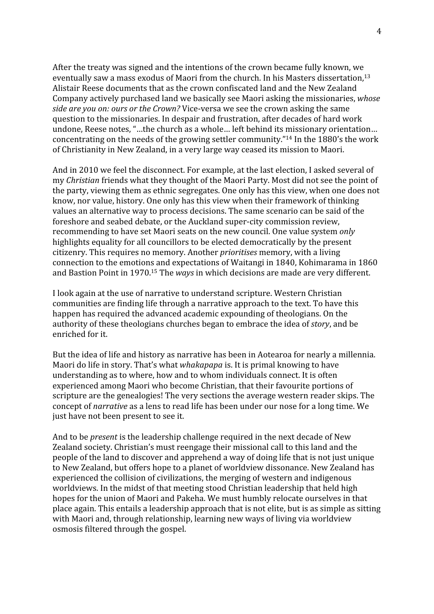After the treaty was signed and the intentions of the crown became fully known, we eventually saw a mass exodus of Maori from the church. In his Masters dissertation,13 Alistair Reese documents that as the crown confiscated land and the New Zealand Company actively purchased land we basically see Maori asking the missionaries, *whose side are you on: ours or the Crown?* Vice‐versa we see the crown asking the same question to the missionaries. In despair and frustration, after decades of hard work undone, Reese notes, "…the church as a whole… left behind its missionary orientation… concentrating on the needs of the growing settler community."14 In the 1880's the work of Christianity in New Zealand, in a very large way ceased its mission to Maori.

And in 2010 we feel the disconnect. For example, at the last election, I asked several of my *Christian* friends what they thought of the Maori Party. Most did not see the point of the party, viewing them as ethnic segregates. One only has this view, when one does not know, nor value, history. One only has this view when their framework of thinking values an alternative way to process decisions. The same scenario can be said of the foreshore and seabed debate, or the Auckland super‐city commission review, recommending to have set Maori seats on the new council. One value system *only* highlights equality for all councillors to be elected democratically by the present citizenry. This requires no memory. Another *prioritises* memory, with a living connection to the emotions and expectations of Waitangi in 1840, Kohimarama in 1860 and Bastion Point in 1970.15 The *ways* in which decisions are made are very different.

I look again at the use of narrative to understand scripture. Western Christian communities are finding life through a narrative approach to the text. To have this happen has required the advanced academic expounding of theologians. On the authority of these theologians churches began to embrace the idea of *story*, and be enriched for it.

But the idea of life and history as narrative has been in Aotearoa for nearly a millennia. Maori do life in story. That's what *whakapapa* is. It is primal knowing to have understanding as to where, how and to whom individuals connect. It is often experienced among Maori who become Christian, that their favourite portions of scripture are the genealogies! The very sections the average western reader skips. The concept of *narrative* as a lens to read life has been under our nose for a long time. We just have not been present to see it.

And to be *present* is the leadership challenge required in the next decade of New Zealand society. Christian's must reengage their missional call to this land and the people of the land to discover and apprehend a way of doing life that is not just unique to New Zealand, but offers hope to a planet of worldview dissonance. New Zealand has experienced the collision of civilizations, the merging of western and indigenous worldviews. In the midst of that meeting stood Christian leadership that held high hopes for the union of Maori and Pakeha. We must humbly relocate ourselves in that place again. This entails a leadership approach that is not elite, but is as simple as sitting with Maori and, through relationship, learning new ways of living via worldview osmosis filtered through the gospel.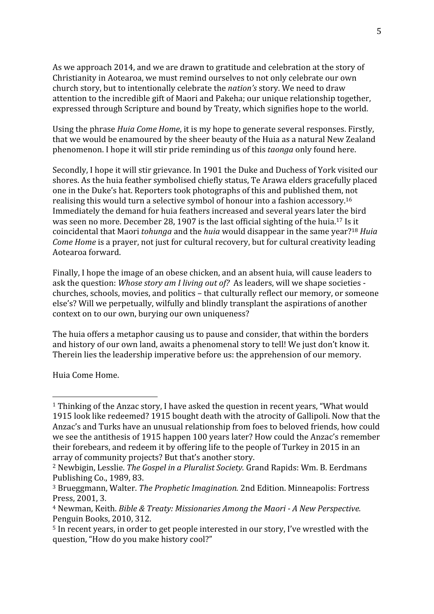As we approach 2014, and we are drawn to gratitude and celebration at the story of Christianity in Aotearoa, we must remind ourselves to not only celebrate our own church story, but to intentionally celebrate the *nation's* story. We need to draw attention to the incredible gift of Maori and Pakeha; our unique relationship together, expressed through Scripture and bound by Treaty, which signifies hope to the world.

Using the phrase *Huia Come Home*, it is my hope to generate several responses. Firstly, that we would be enamoured by the sheer beauty of the Huia as a natural New Zealand phenomenon. I hope it will stir pride reminding us of this *taonga* only found here.

Secondly, I hope it will stir grievance. In 1901 the Duke and Duchess of York visited our shores. As the huia feather symbolised chiefly status, Te Arawa elders gracefully placed one in the Duke's hat. Reporters took photographs of this and published them, not realising this would turn a selective symbol of honour into a fashion accessory.16 Immediately the demand for huia feathers increased and several years later the bird was seen no more. December 28, 1907 is the last official sighting of the huia.17 Is it coincidental that Maori *tohunga* and the *huia* would disappear in the same year?18 *Huia Come Home* is a prayer, not just for cultural recovery, but for cultural creativity leading Aotearoa forward.

Finally, I hope the image of an obese chicken, and an absent huia, will cause leaders to ask the question: *Whose story am I living out of?* As leaders, will we shape societies ‐ churches, schools, movies, and politics – that culturally reflect our memory, or someone else's? Will we perpetually, wilfully and blindly transplant the aspirations of another context on to our own, burying our own uniqueness?

The huia offers a metaphor causing us to pause and consider, that within the borders and history of our own land, awaits a phenomenal story to tell! We just don't know it. Therein lies the leadership imperative before us: the apprehension of our memory.

Huia Come Home.

<sup>1</sup> Thinking of the Anzac story, I have asked the question in recent years, "What would 1915 look like redeemed? 1915 bought death with the atrocity of Gallipoli. Now that the Anzac's and Turks have an unusual relationship from foes to beloved friends, how could we see the antithesis of 1915 happen 100 years later? How could the Anzac's remember their forebears, and redeem it by offering life to the people of Turkey in 2015 in an array of community projects? But that's another story.

<sup>2</sup> Newbigin, Lesslie. *The Gospel in a Pluralist Society.* Grand Rapids: Wm. B. Eerdmans Publishing Co., 1989, 83.

<sup>3</sup> Brueggmann, Walter. *The Prophetic Imagination.* 2nd Edition. Minneapolis: Fortress Press, 2001, 3.

<sup>4</sup> Newman, Keith. *Bible & Treaty: Missionaries Among the Maori A New Perspective.* Penguin Books, 2010, 312.

<sup>5</sup> In recent years, in order to get people interested in our story, I've wrestled with the question, "How do you make history cool?"